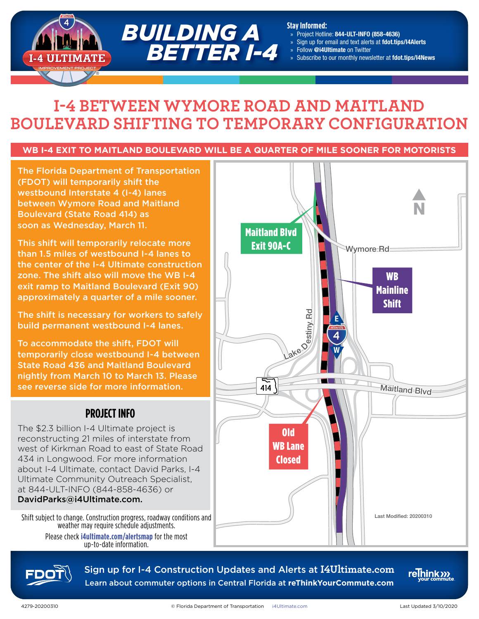

# **I-4 BETWEEN WYMORE ROAD AND MAITLAND BOULEVARD SHIFTING TO TEMPORARY CONFIGURATION**

### **WB I-4 EXIT TO MAITLAND BOULEVARD WILL BE A QUARTER OF MILE SOONER FOR MOTORISTS**

The Florida Department of Transportation (FDOT) will temporarily shift the westbound Interstate 4 (I-4) lanes between Wymore Road and Maitland Boulevard (State Road 414) as soon as Wednesday, March 11.

This shift will temporarily relocate more than 1.5 miles of westbound I-4 lanes to the center of the I-4 Ultimate construction zone. The shift also will move the WB I-4 exit ramp to Maitland Boulevard (Exit 90) approximately a quarter of a mile sooner.

The shift is necessary for workers to safely build permanent westbound I-4 lanes.

To accommodate the shift, FDOT will temporarily close westbound I-4 between State Road 436 and Maitland Boulevard nightly from March 10 to March 13. Please see reverse side for more information.

### **PROJECT INFO**

The \$2.3 billion I-4 Ultimate project is reconstructing 21 miles of interstate from west of Kirkman Road to east of State Road 434 in Longwood. For more information about I-4 Ultimate, contact David Parks, I-4 Ultimate Community Outreach Specialist, at 844-ULT-INFO (844-858-4636) or DavidParks@i4Ultimate.com.

Shift subject to change. Construction progress, roadway conditions and weather may require schedule adjustments. Please check **[i4ultimate.com/alertsmap](http://i4ultimate.com/alertsmap)** for the most up-to-date information.





Sign up for I-4 Construction Updates and Alerts at **I4Ultimate.com** Learn about commuter options in Central Florida at **reThinkYourCommute.com**

relnink<sub>222</sub>